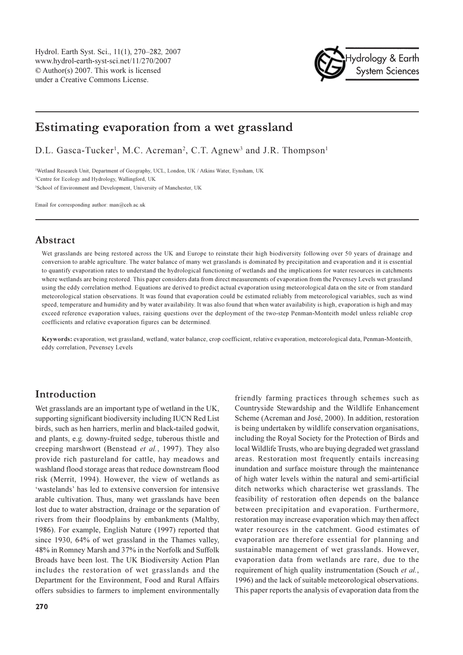Hydrol. Earth Syst. Sci., 11(1), 270–282, 2007 www.hydrol-earth-syst-sci.net/11/270/2007 © Author(s) 2007. This work is licensed under a Creative Commons License.



# Estimating evaporation from a wet grassland

D.L. Gasca-Tucker<sup>1</sup>, M.C. Acreman<sup>2</sup>, C.T. Agnew<sup>3</sup> and J.R. Thompson<sup>1</sup>

<sup>1</sup>Wetland Research Unit, Department of Geography, UCL, London, UK / Atkins Water, Eynsham, UK <sup>2</sup>Centre for Ecology and Hydrology, Wallingford, UK <sup>3</sup>School of Environment and Development, University of Manchester, UK

Email for corresponding author: man@ceh.ac.uk

## Abstract

Wet grasslands are being restored across the UK and Europe to reinstate their high biodiversity following over 50 years of drainage and conversion to arable agriculture. The water balance of many wet grasslands is dominated by precipitation and evaporation and it is essential to quantify evaporation rates to understand the hydrological functioning of wetlands and the implications for water resources in catchments where wetlands are being restored. This paper considers data from direct measurements of evaporation from the Pevensey Levels wet grassland using the eddy correlation method. Equations are derived to predict actual evaporation using meteorological data on the site or from standard meteorological station observations. It was found that evaporation could be estimated reliably from meteorological variables, such as wind speed, temperature and humidity and by water availability. It was also found that when water availability is high, evaporation is high and may exceed reference evaporation values, raising questions over the deployment of the two-step Penman-Monteith model unless reliable crop coefficients and relative evaporation figures can be determined.

Keywords: evaporation, wet grassland, wetland, water balance, crop coefficient, relative evaporation, meteorological data, Penman-Monteith, eddy correlation. Pevensey Levels

# Introduction

Wet grasslands are an important type of wetland in the UK, supporting significant biodiversity including IUCN Red List birds, such as hen harriers, merlin and black-tailed godwit, and plants, e.g. downy-fruited sedge, tuberous thistle and creeping marshwort (Benstead *et al.*, 1997). They also provide rich pastureland for cattle, hay meadows and washland flood storage areas that reduce downstream flood risk (Merrit, 1994). However, the view of wetlands as 'wastelands' has led to extensive conversion for intensive arable cultivation. Thus, many wet grasslands have been lost due to water abstraction, drainage or the separation of rivers from their floodplains by embankments (Maltby, 1986). For example, English Nature (1997) reported that since 1930, 64% of wet grassland in the Thames valley, 48% in Romney Marsh and 37% in the Norfolk and Suffolk Broads have been lost. The UK Biodiversity Action Plan includes the restoration of wet grasslands and the Department for the Environment, Food and Rural Affairs offers subsidies to farmers to implement environmentally

friendly farming practices through schemes such as Countryside Stewardship and the Wildlife Enhancement Scheme (Acreman and José, 2000). In addition, restoration is being undertaken by wildlife conservation organisations, including the Royal Society for the Protection of Birds and local Wildlife Trusts, who are buying degraded wet grassland areas. Restoration most frequently entails increasing inundation and surface moisture through the maintenance of high water levels within the natural and semi-artificial ditch networks which characterise wet grasslands. The feasibility of restoration often depends on the balance between precipitation and evaporation. Furthermore, restoration may increase evaporation which may then affect water resources in the catchment. Good estimates of evaporation are therefore essential for planning and sustainable management of wet grasslands. However, evaporation data from wetlands are rare, due to the requirement of high quality instrumentation (Souch et al., 1996) and the lack of suitable meteorological observations. This paper reports the analysis of evaporation data from the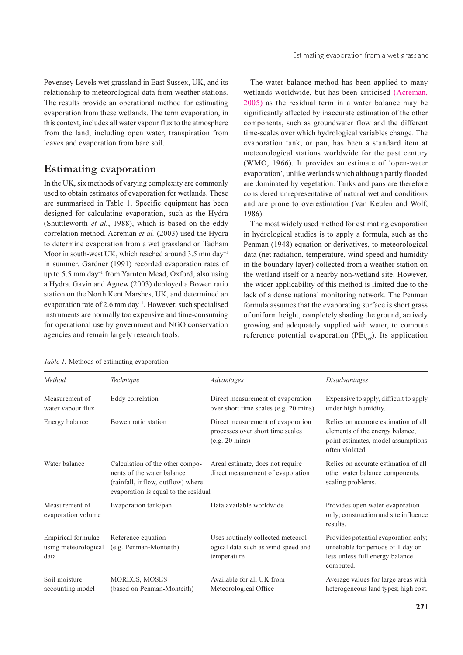Pevensey Levels wet grassland in East Sussex, UK, and its relationship to meteorological data from weather stations. The results provide an operational method for estimating evaporation from these wetlands. The term evaporation, in this context, includes all water vapour flux to the atmosphere from the land, including open water, transpiration from leaves and evaporation from bare soil.

# **Estimating evaporation**

In the UK, six methods of varying complexity are commonly used to obtain estimates of evaporation for wetlands. These are summarised in Table 1. Specific equipment has been designed for calculating evaporation, such as the Hydra (Shuttleworth et al., 1988), which is based on the eddy correlation method. Acreman et al. (2003) used the Hydra to determine evaporation from a wet grassland on Tadham Moor in south-west UK, which reached around 3.5 mm day<sup>-1</sup> in summer. Gardner (1991) recorded evaporation rates of up to 5.5 mm day<sup>-1</sup> from Yarnton Mead, Oxford, also using a Hydra. Gavin and Agnew (2003) deployed a Bowen ratio station on the North Kent Marshes, UK, and determined an evaporation rate of 2.6 mm day<sup>-1</sup>. However, such specialised instruments are normally too expensive and time-consuming for operational use by government and NGO conservation agencies and remain largely research tools.

The water balance method has been applied to many wetlands worldwide, but has been criticised (Acreman, 2005) as the residual term in a water balance may be significantly affected by inaccurate estimation of the other components, such as groundwater flow and the different time-scales over which hydrological variables change. The evaporation tank, or pan, has been a standard item at meteorological stations worldwide for the past century (WMO, 1966). It provides an estimate of 'open-water evaporation', unlike wetlands which although partly flooded are dominated by vegetation. Tanks and pans are therefore considered unrepresentative of natural wetland conditions and are prone to overestimation (Van Keulen and Wolf, 1986).

The most widely used method for estimating evaporation in hydrological studies is to apply a formula, such as the Penman (1948) equation or derivatives, to meteorological data (net radiation, temperature, wind speed and humidity in the boundary layer) collected from a weather station on the wetland itself or a nearby non-wetland site. However, the wider applicability of this method is limited due to the lack of a dense national monitoring network. The Penman formula assumes that the evaporating surface is short grass of uniform height, completely shading the ground, actively growing and adequately supplied with water, to compute reference potential evaporation (PEt<sub>ref</sub>). Its application

| Method                                             | Technique                                                                                                                                  | Advantages                                                                              | Disadvantages                                                                                                                    |
|----------------------------------------------------|--------------------------------------------------------------------------------------------------------------------------------------------|-----------------------------------------------------------------------------------------|----------------------------------------------------------------------------------------------------------------------------------|
| Measurement of<br>water vapour flux                | Eddy correlation                                                                                                                           | Direct measurement of evaporation<br>over short time scales (e.g. 20 mins)              | Expensive to apply, difficult to apply<br>under high humidity.                                                                   |
| Energy balance                                     | Bowen ratio station                                                                                                                        | Direct measurement of evaporation<br>processes over short time scales<br>(e.g. 20 mins) | Relies on accurate estimation of all<br>elements of the energy balance,<br>point estimates, model assumptions<br>often violated. |
| Water balance                                      | Calculation of the other compo-<br>nents of the water balance<br>(rainfall, inflow, outflow) where<br>evaporation is equal to the residual | Areal estimate, does not require<br>direct measurement of evaporation                   | Relies on accurate estimation of all<br>other water balance components,<br>scaling problems.                                     |
| Measurement of<br>evaporation volume               | Evaporation tank/pan                                                                                                                       | Data available worldwide                                                                | Provides open water evaporation<br>only; construction and site influence<br>results.                                             |
| Empirical formulae<br>using meteorological<br>data | Reference equation<br>(e.g. Penman-Monteith)                                                                                               | Uses routinely collected meteorol-<br>ogical data such as wind speed and<br>temperature | Provides potential evaporation only;<br>unreliable for periods of 1 day or<br>less unless full energy balance<br>computed.       |
| Soil moisture<br>accounting model                  | <b>MORECS, MOSES</b><br>(based on Penman-Monteith)                                                                                         | Available for all UK from<br>Meteorological Office                                      | Average values for large areas with<br>heterogeneous land types; high cost.                                                      |

Table 1. Methods of estimating evaporation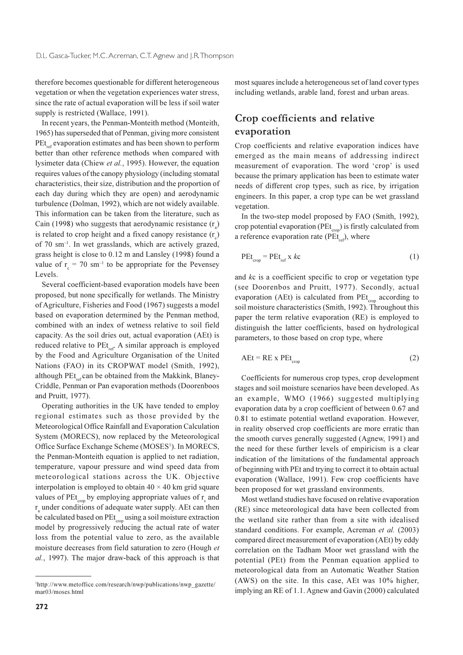therefore becomes questionable for different heterogeneous vegetation or when the vegetation experiences water stress, since the rate of actual evaporation will be less if soil water supply is restricted (Wallace, 1991).

In recent years, the Penman-Monteith method (Monteith, 1965) has superseded that of Penman, giving more consistent PEt<sub>re</sub> evaporation estimates and has been shown to perform better than other reference methods when compared with lysimeter data (Chiew et al., 1995). However, the equation requires values of the canopy physiology (including stomatal characteristics, their size, distribution and the proportion of each day during which they are open) and aerodynamic turbulence (Dolman, 1992), which are not widely available. This information can be taken from the literature, such as Cain (1998) who suggests that aerodynamic resistance  $(r<sub>s</sub>)$ is related to crop height and a fixed canopy resistance (r) of 70 sm<sup>-1</sup>. In wet grasslands, which are actively grazed. grass height is close to 0.12 m and Lansley (1998) found a value of  $r_c = 70 \text{ sm}^{-1}$  to be appropriate for the Pevensey Levels.

Several coefficient-based evaporation models have been proposed, but none specifically for wetlands. The Ministry of Agriculture, Fisheries and Food (1967) suggests a model based on evaporation determined by the Penman method, combined with an index of wetness relative to soil field capacity. As the soil dries out, actual evaporation (AEt) is reduced relative to PEt<sub>ref</sub>. A similar approach is employed by the Food and Agriculture Organisation of the United Nations (FAO) in its CROPWAT model (Smith, 1992), although PEt<sub>ref</sub> can be obtained from the Makkink, Blaney-Criddle, Penman or Pan evaporation methods (Doorenboos and Pruitt, 1977).

Operating authorities in the UK have tended to employ regional estimates such as those provided by the Meteorological Office Rainfall and Evaporation Calculation System (MORECS), now replaced by the Meteorological Office Surface Exchange Scheme (MOSES<sup>1</sup>). In MORECS, the Penman-Monteith equation is applied to net radiation, temperature, vapour pressure and wind speed data from meteorological stations across the UK. Objective interpolation is employed to obtain  $40 \times 40$  km grid square values of PEt<sub>crop</sub> by employing appropriate values of  $r<sub>s</sub>$  and r under conditions of adequate water supply. AEt can then be calculated based on PEt<sub>cron</sub>using a soil moisture extraction model by progressively reducing the actual rate of water loss from the potential value to zero, as the available moisture decreases from field saturation to zero (Hough et al., 1997). The major draw-back of this approach is that

most squares include a heterogeneous set of land cover types including wetlands, arable land, forest and urban areas.

# Crop coefficients and relative evaporation

Crop coefficients and relative evaporation indices have emerged as the main means of addressing indirect measurement of evaporation. The word 'crop' is used because the primary application has been to estimate water needs of different crop types, such as rice, by irrigation engineers. In this paper, a crop type can be wet grassland vegetation.

In the two-step model proposed by FAO (Smith, 1992), crop potential evaporation (PEt<sub>crop</sub>) is firstly calculated from a reference evaporation rate ( $PEt_{ref}$ ), where

$$
PEt_{\text{crop}} = PEt_{\text{ref}} \times kc \tag{1}
$$

and kc is a coefficient specific to crop or vegetation type (see Doorenbos and Pruitt, 1977). Secondly, actual evaporation (AEt) is calculated from PEt<sub>crop</sub> according to soil moisture characteristics (Smith, 1992). Throughout this paper the term relative evaporation (RE) is employed to distinguish the latter coefficients, based on hydrological parameters, to those based on crop type, where

$$
AEt = RE X Petcro \t(2)
$$

Coefficients for numerous crop types, crop development stages and soil moisture scenarios have been developed. As an example, WMO (1966) suggested multiplying evaporation data by a crop coefficient of between 0.67 and 0.81 to estimate potential wetland evaporation. However, in reality observed crop coefficients are more erratic than the smooth curves generally suggested (Agnew, 1991) and the need for these further levels of empiricism is a clear indication of the limitations of the fundamental approach of beginning with PEt and trying to correct it to obtain actual evaporation (Wallace, 1991). Few crop coefficients have been proposed for wet grassland environments.

Most wetland studies have focused on relative evaporation (RE) since meteorological data have been collected from the wetland site rather than from a site with idealised standard conditions. For example, Acreman et al. (2003) compared direct measurement of evaporation (AEt) by eddy correlation on the Tadham Moor wet grassland with the potential (PEt) from the Penman equation applied to meteorological data from an Automatic Weather Station (AWS) on the site. In this case, AEt was 10% higher, implying an RE of 1.1. Agnew and Gavin (2000) calculated

<sup>&</sup>lt;sup>1</sup>http://www.metoffice.com/research/nwp/publications/nwp\_gazette/  $mar<sub>03/moses</sub>$  html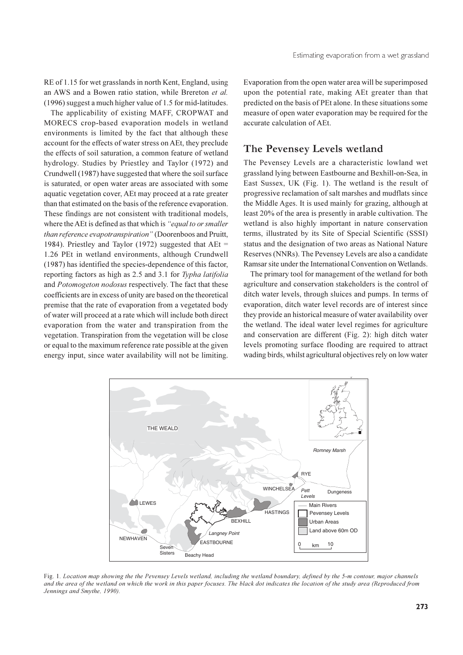RE of 1.15 for wet grasslands in north Kent, England, using an AWS and a Bowen ratio station, while Brereton et al. (1996) suggest a much higher value of 1.5 for mid-latitudes.

The applicability of existing MAFF, CROPWAT and MORECS crop-based evaporation models in wetland environments is limited by the fact that although these account for the effects of water stress on AEt, they preclude the effects of soil saturation, a common feature of wetland hydrology. Studies by Priestley and Taylor (1972) and Crundwell (1987) have suggested that where the soil surface is saturated, or open water areas are associated with some aquatic vegetation cover, AEt may proceed at a rate greater than that estimated on the basis of the reference evaporation. These findings are not consistent with traditional models, where the AEt is defined as that which is "equal to or smaller than reference evapotranspiration" (Doorenboos and Pruitt, 1984). Priestlev and Taylor (1972) suggested that  $AEt =$ 1.26 PEt in wetland environments, although Crundwell (1987) has identified the species-dependence of this factor, reporting factors as high as 2.5 and 3.1 for Typha latifolia and Potomogeton nodosus respectively. The fact that these coefficients are in excess of unity are based on the theoretical premise that the rate of evaporation from a vegetated body of water will proceed at a rate which will include both direct evaporation from the water and transpiration from the vegetation. Transpiration from the vegetation will be close or equal to the maximum reference rate possible at the given energy input, since water availability will not be limiting.

Evaporation from the open water area will be superimposed upon the potential rate, making AEt greater than that predicted on the basis of PEt alone. In these situations some measure of open water evaporation may be required for the accurate calculation of AEt.

# The Pevensey Levels wetland

The Pevensey Levels are a characteristic lowland wet grassland lying between Eastbourne and Bexhill-on-Sea, in East Sussex, UK (Fig. 1). The wetland is the result of progressive reclamation of salt marshes and mudflats since the Middle Ages. It is used mainly for grazing, although at least 20% of the area is presently in arable cultivation. The wetland is also highly important in nature conservation terms, illustrated by its Site of Special Scientific (SSSI) status and the designation of two areas as National Nature Reserves (NNRs). The Pevensey Levels are also a candidate Ramsar site under the International Convention on Wetlands.

The primary tool for management of the wetland for both agriculture and conservation stakeholders is the control of ditch water levels, through sluices and pumps. In terms of evaporation, ditch water level records are of interest since they provide an historical measure of water availability over the wetland. The ideal water level regimes for agriculture and conservation are different (Fig. 2): high ditch water levels promoting surface flooding are required to attract wading birds, whilst agricultural objectives rely on low water



Fig. 1. Location map showing the the Pevensey Levels wetland, including the wetland boundary, defined by the 5-m contour, major channels and the area of the wetland on which the work in this paper focuses. The black dot indicates the location of the study area (Reproduced from Jennings and Smythe, 1990).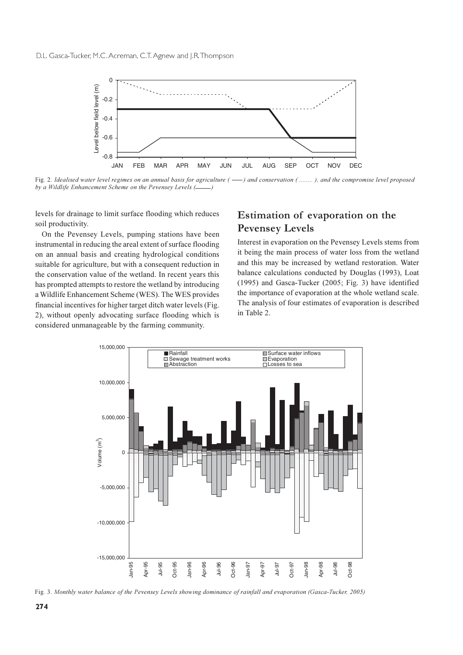

Fig. 2. Idealised water level regimes on an annual basis for agriculture ( —–) and conservation ( ……… ), and the compromise level proposed by a Wildlife Enhancement Scheme on the Pevensey Levels (-  $\qquad$  )

levels for drainage to limit surface flooding which reduces soil productivity.

On the Pevensey Levels, pumping stations have been instrumental in reducing the areal extent of surface flooding on an annual basis and creating hydrological conditions suitable for agriculture, but with a consequent reduction in the conservation value of the wetland. In recent years this has prompted attempts to restore the wetland by introducing a Wildlife Enhancement Scheme (WES). The WES provides financial incentives for higher target ditch water levels (Fig. 2), without openly advocating surface flooding which is considered unmanageable by the farming community.

# Estimation of evaporation on the **Pevensey Levels**

Interest in evaporation on the Pevensey Levels stems from it being the main process of water loss from the wetland and this may be increased by wetland restoration. Water balance calculations conducted by Douglas (1993), Loat  $(1995)$  and Gasca-Tucker  $(2005; Fig. 3)$  have identified the importance of evaporation at the whole wetland scale. The analysis of four estimates of evaporation is described in Table 2.



Fig. 3. Monthly water balance of the Pevensey Levels showing dominance of rainfall and evaporation (Gasca-Tucker, 2005)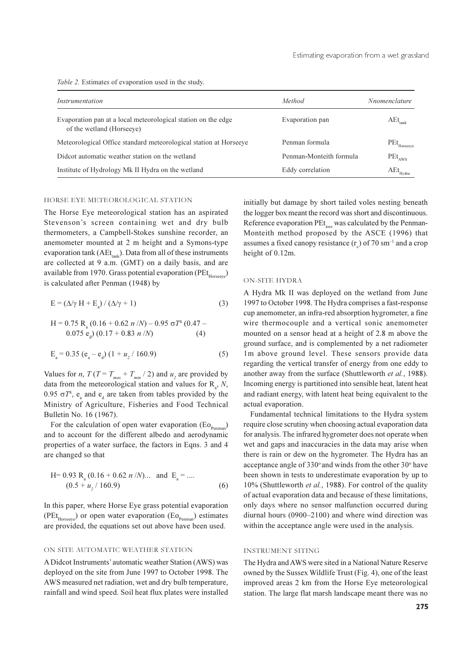Table 2. Estimates of evaporation used in the study.

| Instrumentation                                                                            | Method                  | <i>Nnomenclature</i>            |
|--------------------------------------------------------------------------------------------|-------------------------|---------------------------------|
| Evaporation pan at a local meteorological station on the edge<br>of the wetland (Horseeve) | Evaporation pan         | $AEt_{\text{rank}}$             |
| Meteorological Office standard meteorological station at Horseeye                          | Penman formula          | $\mathrm{PEt}_{\mathrm{Horse}$  |
| Didcot automatic weather station on the wetland                                            | Penman-Monteith formula | $PEt_{AWS}$                     |
| Institute of Hydrology Mk II Hydra on the wetland                                          | Eddy correlation        | $\mathrm{AEt}_{\mathrm{Hydra}}$ |

#### HORSE EYE METEOROLOGICAL STATION

The Horse Eye meteorological station has an aspirated Stevenson's screen containing wet and dry bulb thermometers, a Campbell-Stokes sunshine recorder, an anemometer mounted at 2 m height and a Symons-type evaporation tank ( $AEt_{\text{trab}}$ ). Data from all of these instruments are collected at 9 a.m. (GMT) on a daily basis, and are available from 1970. Grass potential evaporation (PE $t_{Horse}$ is calculated after Penman (1948) by

$$
E = (\Delta/\gamma H + E_a) / (\Delta/\gamma + 1)
$$
 (3)

H = 0.75 R<sub>a</sub> (0.16 + 0.62 *n*/*N*) – 0.95 
$$
\sigma T^4
$$
 (0.47 –  
0.075 e<sub>a</sub>) (0.17 + 0.83 *n*/*N*) (4)

$$
E_a = 0.35 (e_a - e_d) (1 + u_2 / 160.9)
$$
 (5)

Values for *n*,  $T(T = T_{max} + T_{min}/2)$  and  $u_2$  are provided by data from the meteorological station and values for  $R_a$ , N, 0.95  $\sigma T^4$ , e and e are taken from tables provided by the Ministry of Agriculture, Fisheries and Food Technical Bulletin No. 16 (1967).

For the calculation of open water evaporation  $(E_{O_{p_{\text{common}}}})$ and to account for the different albedo and aerodynamic properties of a water surface, the factors in Eqns. 3 and 4 are changed so that

H= 0.93 R<sub>a</sub> (0.16 + 0.62 *n*/*N*).... and E<sub>a</sub> = ....  
(0.5 + 
$$
u_2
$$
/160.9) (6)

In this paper, where Horse Eye grass potential evaporation  $(PEt_{Horse})$  or open water evaporation  $(Eo_{p_{\text{extreman}}})$  estimates are provided, the equations set out above have been used.

#### ON SITE AUTOMATIC WEATHER STATION

A Didcot Instruments' automatic weather Station (AWS) was deployed on the site from June 1997 to October 1998. The AWS measured net radiation, wet and dry bulb temperature, rainfall and wind speed. Soil heat flux plates were installed

initially but damage by short tailed voles nesting beneath the logger box meant the record was short and discontinuous. Reference evaporation PEt<sub>aws</sub> was calculated by the Penman-Monteith method proposed by the ASCE (1996) that assumes a fixed canopy resistance  $(r)$  of 70 sm<sup>-1</sup> and a crop height of 0.12m.

#### **ON-SITE HYDRA**

A Hydra Mk II was deployed on the wetland from June 1997 to October 1998. The Hydra comprises a fast-response cup anemometer, an infra-red absorption hygrometer, a fine wire thermocouple and a vertical sonic anemometer mounted on a sensor head at a height of 2.8 m above the ground surface, and is complemented by a net radiometer 1m above ground level. These sensors provide data regarding the vertical transfer of energy from one eddy to another away from the surface (Shuttleworth et al., 1988). Incoming energy is partitioned into sensible heat, latent heat and radiant energy, with latent heat being equivalent to the actual evaporation.

Fundamental technical limitations to the Hydra system require close scrutiny when choosing actual evaporation data for analysis. The infrared hygrometer does not operate when wet and gaps and inaccuracies in the data may arise when there is rain or dew on the hygrometer. The Hydra has an acceptance angle of 330° and winds from the other 30° have been shown in tests to underestimate evaporation by up to 10% (Shuttleworth et al., 1988). For control of the quality of actual evaporation data and because of these limitations, only days where no sensor malfunction occurred during diurnal hours  $(0900-2100)$  and where wind direction was within the acceptance angle were used in the analysis.

#### **INSTRUMENT SITING**

The Hydra and AWS were sited in a National Nature Reserve owned by the Sussex Wildlife Trust (Fig. 4), one of the least improved areas 2 km from the Horse Eye meteorological station. The large flat marsh landscape meant there was no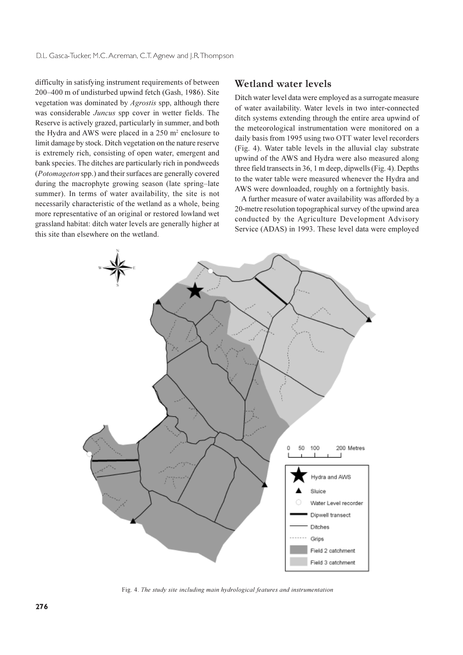difficulty in satisfying instrument requirements of between 200-400 m of undisturbed upwind fetch (Gash, 1986). Site vegetation was dominated by *Agrostis* spp, although there was considerable Juncus spp cover in wetter fields. The Reserve is actively grazed, particularly in summer, and both the Hydra and AWS were placed in a 250 m<sup>2</sup> enclosure to limit damage by stock. Ditch vegetation on the nature reserve is extremely rich, consisting of open water, emergent and bank species. The ditches are particularly rich in pondweeds (Potomageton spp.) and their surfaces are generally covered during the macrophyte growing season (late spring-late summer). In terms of water availability, the site is not necessarily characteristic of the wetland as a whole, being more representative of an original or restored lowland wet grassland habitat: ditch water levels are generally higher at this site than elsewhere on the wetland.

### Wetland water levels

Ditch water level data were employed as a surrogate measure of water availability. Water levels in two inter-connected ditch systems extending through the entire area upwind of the meteorological instrumentation were monitored on a daily basis from 1995 using two OTT water level recorders (Fig. 4). Water table levels in the alluvial clay substrate upwind of the AWS and Hydra were also measured along three field transects in 36, 1 m deep, dipwells (Fig. 4). Depths to the water table were measured whenever the Hydra and AWS were downloaded, roughly on a fortnightly basis.

A further measure of water availability was afforded by a 20-metre resolution topographical survey of the upwind area conducted by the Agriculture Development Advisory Service (ADAS) in 1993. These level data were employed



Fig. 4. The study site including main hydrological features and instrumentation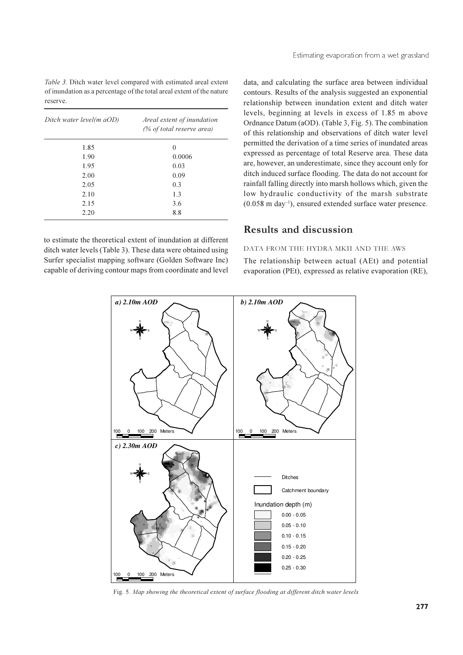Table 3. Ditch water level compared with estimated areal extent of inundation as a percentage of the total areal extent of the nature reserve.

| Ditch water level(m aOD) | Areal extent of inundation<br>(% of total reserve area) |  |
|--------------------------|---------------------------------------------------------|--|
| 1.85                     | $\Omega$                                                |  |
| 1.90                     | 0.0006                                                  |  |
| 1.95                     | 0.03                                                    |  |
| 2.00                     | 0.09                                                    |  |
| 2.05                     | 0.3                                                     |  |
| 2.10                     | 1.3                                                     |  |
| 2.15                     | 3.6                                                     |  |
| 2.20                     | 8.8                                                     |  |

to estimate the theoretical extent of inundation at different ditch water levels (Table 3). These data were obtained using Surfer specialist mapping software (Golden Software Inc) capable of deriving contour maps from coordinate and level data, and calculating the surface area between individual contours. Results of the analysis suggested an exponential relationship between inundation extent and ditch water levels, beginning at levels in excess of 1.85 m above Ordnance Datum (aOD). (Table 3, Fig. 5). The combination of this relationship and observations of ditch water level permitted the derivation of a time series of inundated areas expressed as percentage of total Reserve area. These data are, however, an underestimate, since they account only for ditch induced surface flooding. The data do not account for rainfall falling directly into marsh hollows which, given the low hydraulic conductivity of the marsh substrate  $(0.058 \text{ m day}^{-1})$ , ensured extended surface water presence.

## **Results and discussion**

#### DATA FROM THE HYDRA MKII AND THE AWS

The relationship between actual (AEt) and potential evaporation (PEt), expressed as relative evaporation (RE),



Fig. 5. Map showing the theoretical extent of surface flooding at different ditch water levels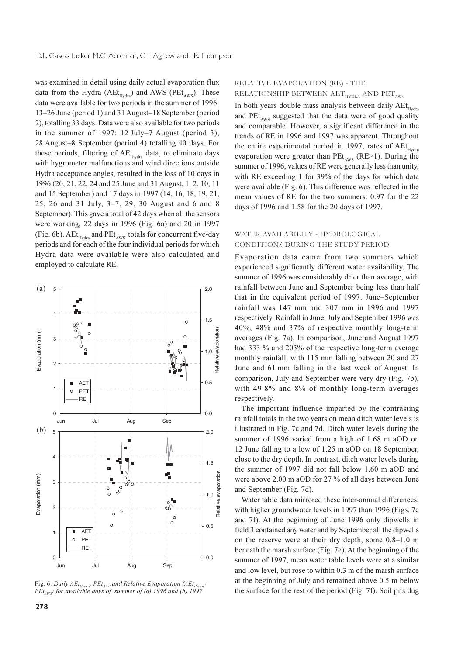was examined in detail using daily actual evaporation flux data from the Hydra (AEt<sub>Hydra</sub>) and AWS (PEt<sub>AWS</sub>). These data were available for two periods in the summer of 1996: 13–26 June (period 1) and 31 August–18 September (period 2), totalling 33 days. Data were also available for two periods in the summer of 1997: 12 July–7 August (period 3). 28 August-8 September (period 4) totalling 40 days. For these periods, filtering of AEt<sub>hydra</sub> data, to eliminate days with hygrometer malfunctions and wind directions outside Hydra acceptance angles, resulted in the loss of 10 days in 1996 (20, 21, 22, 24 and 25 June and 31 August, 1, 2, 10, 11 and 15 September) and 17 days in 1997 (14, 16, 18, 19, 21, 25, 26 and 31 July, 3-7, 29, 30 August and 6 and 8 September). This gave a total of 42 days when all the sensors were working, 22 days in 1996 (Fig. 6a) and 20 in 1997 (Fig. 6b). AEt<sub>Hydra</sub> and PEt<sub>AWS</sub> totals for concurrent five-day periods and for each of the four individual periods for which Hydra data were available were also calculated and employed to calculate RE.



Fig. 6. Daily  $AEt_{Hydra}$ ,  $PEt_{AWS}$  and Relative Evaporation (AE $t_{H}$  $PEt_{\text{avg}}$ ) for available days of summer of (a) 1996 and (b) 1997.

### RELATIVE EVAPORATION (RE) - THE RELATIONSHIP BETWEEN  $\text{AET}_{\text{HYDRA}}$  AND  $\text{PET}_{\text{AVS}}$

In both years double mass analysis between daily AEt<sub>Hydra</sub> and PEt<sub>AWS</sub> suggested that the data were of good quality and comparable. However, a significant difference in the trends of RE in 1996 and 1997 was apparent. Throughout the entire experimental period in 1997, rates of AEt<sub>Hydra</sub> evaporation were greater than  $PEt_{ANS}$  (RE>1). During the summer of 1996, values of RE were generally less than unity, with RE exceeding 1 for 39% of the days for which data were available (Fig. 6). This difference was reflected in the mean values of RE for the two summers: 0.97 for the 22 days of 1996 and 1.58 for the 20 days of 1997.

### WATER AVAILABILITY - HYDROLOGICAL CONDITIONS DURING THE STUDY PERIOD

Evaporation data came from two summers which experienced significantly different water availability. The summer of 1996 was considerably drier than average, with rainfall between June and September being less than half that in the equivalent period of 1997. June–September rainfall was 147 mm and 307 mm in 1996 and 1997 respectively. Rainfall in June, July and September 1996 was 40%, 48% and 37% of respective monthly long-term averages (Fig. 7a). In comparison, June and August 1997 had 333 % and 203% of the respective long-term average monthly rainfall, with 115 mm falling between 20 and 27 June and 61 mm falling in the last week of August. In comparison, July and September were very dry (Fig. 7b), with 49.8% and 8% of monthly long-term averages respectively.

The important influence imparted by the contrasting rainfall totals in the two years on mean ditch water levels is illustrated in Fig. 7c and 7d. Ditch water levels during the summer of 1996 varied from a high of 1.68 m aOD on 12 June falling to a low of 1.25 m aOD on 18 September, close to the dry depth. In contrast, ditch water levels during the summer of 1997 did not fall below 1.60 m aOD and were above 2.00 m aOD for 27 % of all days between June and September (Fig. 7d).

Water table data mirrored these inter-annual differences, with higher groundwater levels in 1997 than 1996 (Figs. 7e and 7f). At the beginning of June 1996 only dipwells in field 3 contained any water and by September all the dipwells on the reserve were at their dry depth, some 0.8-1.0 m beneath the marsh surface (Fig. 7e). At the beginning of the summer of 1997, mean water table levels were at a similar and low level, but rose to within 0.3 m of the marsh surface at the beginning of July and remained above 0.5 m below the surface for the rest of the period (Fig. 7f). Soil pits dug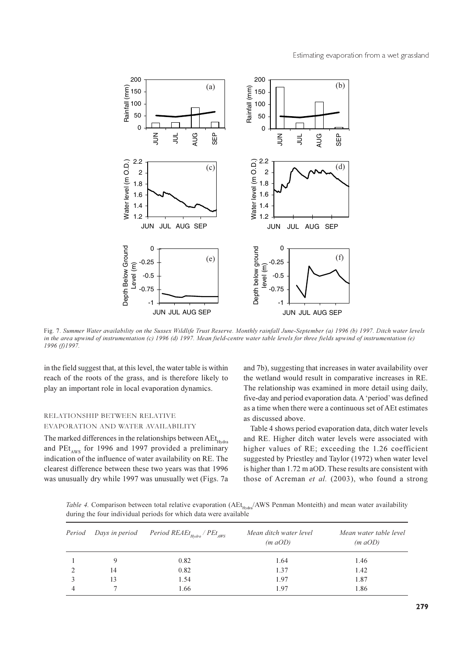

Fig. 7. Summer Water availability on the Sussex Wildlife Trust Reserve. Monthly rainfall June-September (a) 1996 (b) 1997. Ditch water levels in the area upwind of instrumentation (c) 1996 (d) 1997. Mean field-centre water table levels for three fields upwind of instrumentation (e)  $1996(f)1997$ 

in the field suggest that, at this level, the water table is within reach of the roots of the grass, and is therefore likely to play an important role in local evaporation dynamics.

#### RELATIONSHIP BETWEEN RELATIVE EVAPORATION AND WATER AVAILABILITY

The marked differences in the relationships between AEt<sub>Hydra</sub> and  $PEt_{\text{avg}}$  for 1996 and 1997 provided a preliminary indication of the influence of water availability on RE. The clearest difference between these two years was that 1996 was unusually dry while 1997 was unusually wet (Figs. 7a and 7b), suggesting that increases in water availability over the wetland would result in comparative increases in RE. The relationship was examined in more detail using daily, five-day and period evaporation data. A 'period' was defined as a time when there were a continuous set of AEt estimates as discussed above.

Table 4 shows period evaporation data, ditch water levels and RE. Higher ditch water levels were associated with higher values of RE; exceeding the 1.26 coefficient suggested by Priestley and Taylor (1972) when water level is higher than 1.72 m aOD. These results are consistent with those of Acreman et al. (2003), who found a strong

Table 4. Comparison between total relative evaporation (AEt<sub>Hydra</sub>/AWS Penman Monteith) and mean water availability during the four individual periods for which data were available

|    | <i>Period</i> Days in period Period REAEt <sub>Hydra</sub> / $PEt_{AWS}$ | Mean ditch water level<br>$(m \ aOD)$ | Mean water table level<br>$(m \ aOD)$ |
|----|--------------------------------------------------------------------------|---------------------------------------|---------------------------------------|
|    | 0.82                                                                     | 1.64                                  | 1.46                                  |
| 14 | 0.82                                                                     | 1.37                                  | 1.42                                  |
| 13 | 1.54                                                                     | 1.97                                  | 1.87                                  |
|    | 1.66                                                                     | 1.97                                  | 1.86                                  |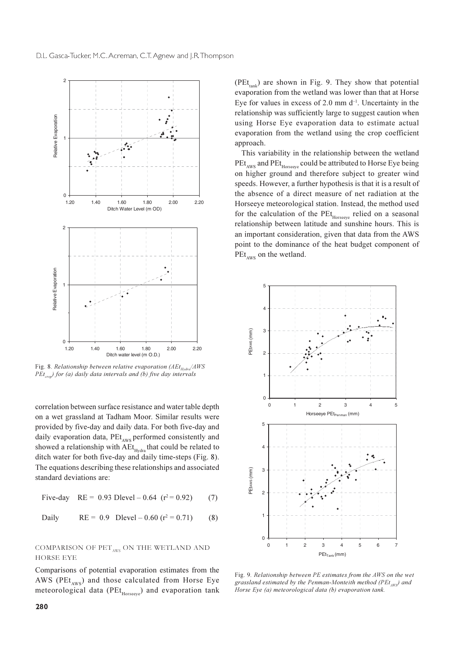

Fig. 8. Relationship between relative evaporation (AEt<sub>ustual</sub>/AWS)  $PEt_{\text{cov}}$  for (a) daily data intervals and (b) five day intervals

correlation between surface resistance and water table depth on a wet grassland at Tadham Moor. Similar results were provided by five-day and daily data. For both five-day and daily evaporation data, PEt<sub>AWS</sub> performed consistently and showed a relationship with AEt<sub>Hydra</sub> that could be related to ditch water for both five-day and daily time-steps (Fig. 8). The equations describing these relationships and associated standard deviations are:

Five-day RE = 0.93 Dlevel – 0.64 (
$$
r^2
$$
= 0.92) (7)

Daily 
$$
RE = 0.9
$$
  $Dlevel - 0.60$   $(r^2 = 0.71)$  (8)

#### COMPARISON OF  $\operatorname{PET_{AWS}}$  ON THE WETLAND AND **HORSE EYE**

Comparisons of potential evaporation estimates from the AWS (PEt<sub>AWS</sub>) and those calculated from Horse Eye meteorological data (PEt<sub>Horseeve</sub>) and evaporation tank (PEt<sub>tank</sub>) are shown in Fig. 9. They show that potential evaporation from the wetland was lower than that at Horse Eve for values in excess of 2.0 mm  $d^{-1}$ . Uncertainty in the relationship was sufficiently large to suggest caution when using Horse Eye evaporation data to estimate actual evaporation from the wetland using the crop coefficient approach.

This variability in the relationship between the wetland PEt<sub>AWS</sub> and PEt<sub>Horseeve</sub> could be attributed to Horse Eye being on higher ground and therefore subject to greater wind speeds. However, a further hypothesis is that it is a result of the absence of a direct measure of net radiation at the Horseeye meteorological station. Instead, the method used for the calculation of the PEt<sub>Horseeye</sub> relied on a seasonal relationship between latitude and sunshine hours. This is an important consideration, given that data from the AWS point to the dominance of the heat budget component of  $PEt_{\text{aux}}$  on the wetland.



Fig. 9. Relationship between PE estimates from the AWS on the wet grassland estimated by the Penman-Monteith method ( $PEt_{avg}$ ) and Horse Eye (a) meteorological data (b) evaporation tank.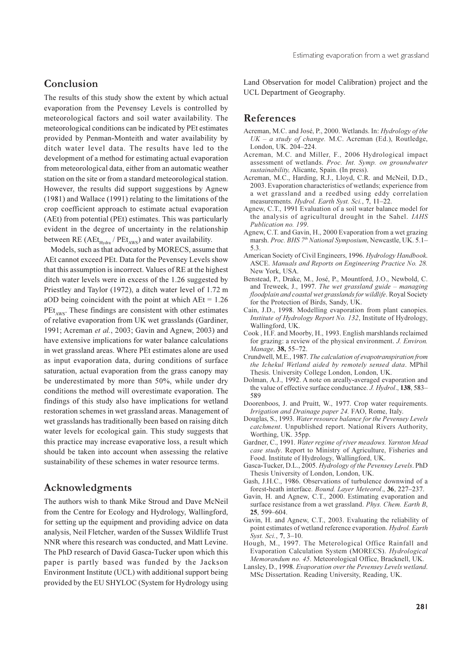# Conclusion

The results of this study show the extent by which actual evaporation from the Pevensey Levels is controlled by meteorological factors and soil water availability. The meteorological conditions can be indicated by PEt estimates provided by Penman-Monteith and water availability by ditch water level data. The results have led to the development of a method for estimating actual evaporation from meteorological data, either from an automatic weather station on the site or from a standard meteorological station. However, the results did support suggestions by Agnew (1981) and Wallace (1991) relating to the limitations of the crop coefficient approach to estimate actual evaporation (AEt) from potential (PEt) estimates. This was particularly evident in the degree of uncertainty in the relationship between RE ( $AEt_{Hvdra}$  /  $PEt_{AWS}$ ) and water availability.

Models, such as that advocated by MORECS, assume that AEt cannot exceed PEt. Data for the Pevensey Levels show that this assumption is incorrect. Values of RE at the highest ditch water levels were in excess of the 1.26 suggested by Priestley and Taylor (1972), a ditch water level of 1.72 m aOD being coincident with the point at which  $AEt = 1.26$  $PEt<sub>aux</sub>$ . These findings are consistent with other estimates of relative evaporation from UK wet grasslands (Gardiner, 1991; Acreman et al., 2003; Gavin and Agnew, 2003) and have extensive implications for water balance calculations in wet grassland areas. Where PEt estimates alone are used as input evaporation data, during conditions of surface saturation, actual evaporation from the grass canopy may be underestimated by more than 50%, while under dry conditions the method will overestimate evaporation. The findings of this study also have implications for wetland restoration schemes in wet grassland areas. Management of wet grasslands has traditionally been based on raising ditch water levels for ecological gain. This study suggests that this practice may increase evaporative loss, a result which should be taken into account when assessing the relative sustainability of these schemes in water resource terms.

### Acknowledgments

The authors wish to thank Mike Stroud and Dave McNeil from the Centre for Ecology and Hydrology, Wallingford, for setting up the equipment and providing advice on data analysis, Neil Fletcher, warden of the Sussex Wildlife Trust NNR where this research was conducted, and Matt Levine. The PhD research of David Gasca-Tucker upon which this paper is partly based was funded by the Jackson Environment Institute (UCL) with additional support being provided by the EU SHYLOC (System for Hydrology using

Land Observation for model Calibration) project and the UCL Department of Geography.

### **References**

- Acreman, M.C. and José, P., 2000. Wetlands. In: Hydrology of the  $UK - a$  study of change. M.C. Acreman (Ed.), Routledge, London, UK. 204-224.
- Acreman, M.C. and Miller, F., 2006 Hydrological impact assessment of wetlands. Proc. Int. Symp. on groundwater sustainability, Alicante, Spain. (In press).
- Acreman, M.C., Harding, R.J., Lloyd, C.R. and McNeil, D.D., 2003. Evaporation characteristics of wetlands: experience from a wet grassland and a reedbed using eddy correlation measurements. Hydrol. Earth Syst. Sci., 7, 11-22.
- Agnew, C.T., 1991 Evaluation of a soil water balance model for the analysis of agricultural drought in the Sahel. IAHS Publication no. 199.
- Agnew, C.T. and Gavin, H., 2000 Evaporation from a wet grazing marsh. Proc. BHS 7th National Symposium, Newcastle, UK. 5.1- $5.3.$
- American Society of Civil Engineers, 1996. Hydrology Handbook. ASCE. Manuals and Reports on Engineering Practice No. 28. New York, USA.
- Benstead, P., Drake, M., José, P., Mountford, J.O., Newbold, C. and Treweek, J., 1997. The wet grassland guide – managing floodplain and coastal wet grasslands for wildlife. Royal Society for the Protection of Birds, Sandy, UK.
- Cain, J.D., 1998. Modelling evaporation from plant canopies. Institute of Hydrology Report No. 132, Institute of Hydrology, Wallingford, UK.
- Cook, H.F. and Moorby, H., 1993. English marshlands reclaimed for grazing: a review of the physical environment. J. Environ. Manage, 38, 55-72.
- Crundwell, M.E., 1987. The calculation of evapotranspiration from the Ichekul Wetland aided by remotely sensed data. MPhil Thesis. University College London, London, UK.
- Dolman, A.J., 1992. A note on areally-averaged evaporation and the value of effective surface conductance. J. Hydrol., 138, 583-589
- Doorenboos, J. and Pruitt, W., 1977. Crop water requirements. Irrigation and Drainage paper 24. FAO, Rome, Italy.
- Douglas, S., 1993. Water resource balance for the Pevensey Levels catchment. Unpublished report. National Rivers Authority, Worthing, UK. 35pp.
- Gardner, C., 1991. Water regime of river meadows. Yarnton Mead case study. Report to Ministry of Agriculture, Fisheries and Food. Institute of Hydrology, Wallingford, UK.
- Gasca-Tucker, D.L., 2005. Hydrology of the Pevensey Levels. PhD Thesis University of London, London, UK.
- Gash, J.H.C., 1986. Observations of turbulence downwind of a forest-heath interface. Bound. Layer Meteorol., 36, 227-237.
- Gavin, H. and Agnew, C.T., 2000. Estimating evaporation and surface resistance from a wet grassland. Phys. Chem. Earth B, 25, 599-604.
- Gavin, H. and Agnew, C.T., 2003. Evaluating the reliability of point estimates of wetland reference evaporation. Hydrol. Earth Syst. Sci., 7, 3-10.
- Hough, M., 1997. The Meterological Office Rainfall and Evaporation Calculation System (MORECS). Hydrological Memorandum no. 45. Meteorological Office, Bracknell, UK.
- Lansley, D., 1998. Evaporation over the Pevensey Levels wetland. MSc Dissertation. Reading University, Reading, UK.